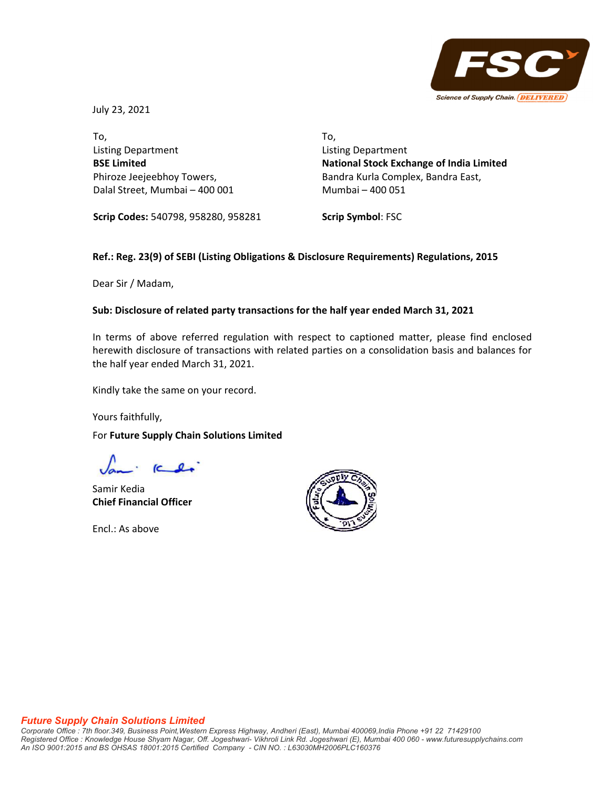

July 23, 2021

To, Listing Department **BSE Limited** Phiroze Jeejeebhoy Towers, Dalal Street, Mumbai – 400 001 To, Listing Department **National Stock Exchange of India Limited** Bandra Kurla Complex, Bandra East, Mumbai – 400 051

**Scrip Codes:** 540798, 958280, 958281

**Scrip Symbol**: FSC

# **Ref.: Reg. 23(9) of SEBI (Listing Obligations & Disclosure Requirements) Regulations, 2015**

Dear Sir / Madam,

## **Sub: Disclosure of related party transactions for the half year ended March 31, 2021**

In terms of above referred regulation with respect to captioned matter, please find enclosed herewith disclosure of transactions with related parties on a consolidation basis and balances for the half year ended March 31, 2021.

Kindly take the same on your record.

Yours faithfully,

For **Future Supply Chain Solutions Limited**

Samir Kedia **Chief Financial Officer**

Encl.: As above



#### *Future Supply Chain Solutions Limited*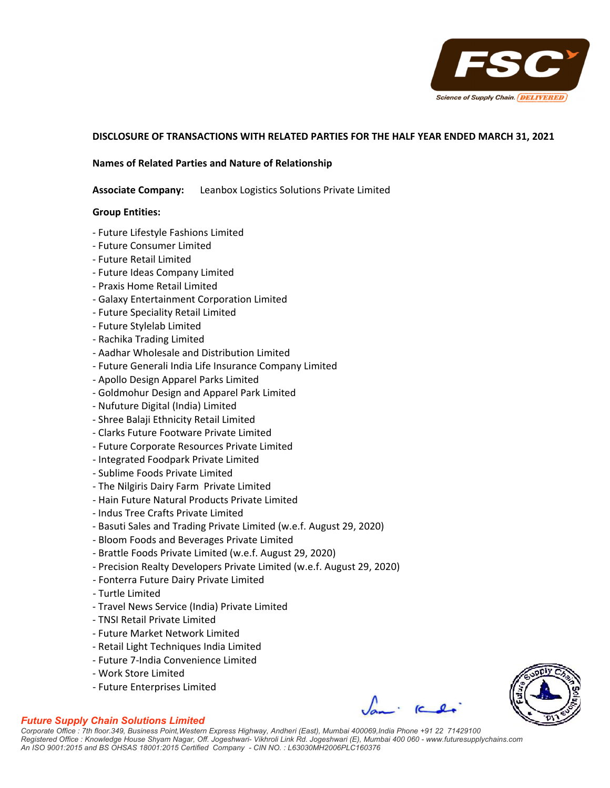

## **DISCLOSURE OF TRANSACTIONS WITH RELATED PARTIES FOR THE HALF YEAR ENDED MARCH 31, 2021**

#### **Names of Related Parties and Nature of Relationship**

**Associate Company:** Leanbox Logistics Solutions Private Limited

#### **Group Entities:**

- ‐ Future Lifestyle Fashions Limited
- ‐ Future Consumer Limited
- ‐ Future Retail Limited
- ‐ Future Ideas Company Limited
- ‐ Praxis Home Retail Limited
- ‐ Galaxy Entertainment Corporation Limited
- ‐ Future Speciality Retail Limited
- ‐ Future Stylelab Limited
- ‐ Rachika Trading Limited
- ‐ Aadhar Wholesale and Distribution Limited
- ‐ Future Generali India Life Insurance Company Limited
- ‐ Apollo Design Apparel Parks Limited
- ‐ Goldmohur Design and Apparel Park Limited
- ‐ Nufuture Digital (India) Limited
- ‐ Shree Balaji Ethnicity Retail Limited
- ‐ Clarks Future Footware Private Limited
- ‐ Future Corporate Resources Private Limited
- ‐ Integrated Foodpark Private Limited
- ‐ Sublime Foods Private Limited
- ‐ The Nilgiris Dairy Farm Private Limited
- ‐ Hain Future Natural Products Private Limited
- ‐ Indus Tree Crafts Private Limited
- ‐ Basuti Sales and Trading Private Limited (w.e.f. August 29, 2020)
- ‐ Bloom Foods and Beverages Private Limited
- ‐ Brattle Foods Private Limited (w.e.f. August 29, 2020)
- ‐ Precision Realty Developers Private Limited (w.e.f. August 29, 2020)
- ‐ Fonterra Future Dairy Private Limited
- ‐ Turtle Limited
- ‐ Travel News Service (India) Private Limited
- ‐ TNSI Retail Private Limited
- ‐ Future Market Network Limited
- ‐ Retail Light Techniques India Limited
- ‐ Future 7‐India Convenience Limited
- ‐ Work Store Limited
- ‐ Future Enterprises Limited



*Corporate Office : 7th floor.349, Business Point,Western Express Highway, Andheri (East), Mumbai 400069,India Phone +91 22 71429100 Registered Office : Knowledge House Shyam Nagar, Off. Jogeshwari- Vikhroli Link Rd. Jogeshwari (E), Mumbai 400 060 - www.futuresupplychains.com An ISO 9001:2015 and BS OHSAS 18001:2015 Certified Company - CIN NO. : L63030MH2006PLC160376*